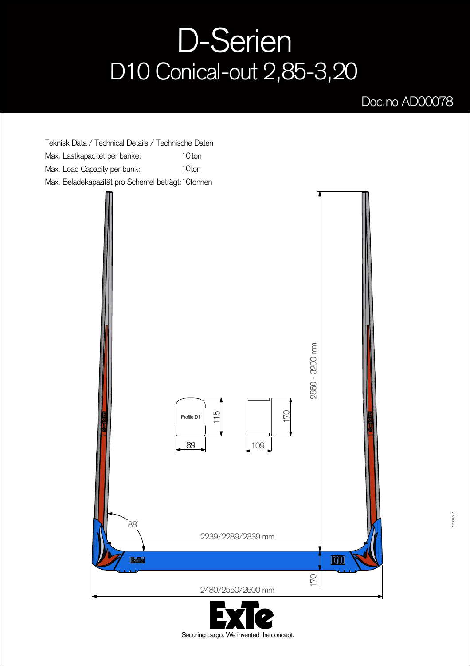## D-Serien D10 Conical-out 2,85-3,20

## Doc.no AD00078

Teknisk Data / Technical Details / Technische Daten Max. Lastkapacitet per banke: Max. Load Capacity per bunk: Max. Beladekapazität pro Schemel beträgt: 1 Otonnen 10<sub>ton</sub> 10ton



Securing cargo. We invented the concept.